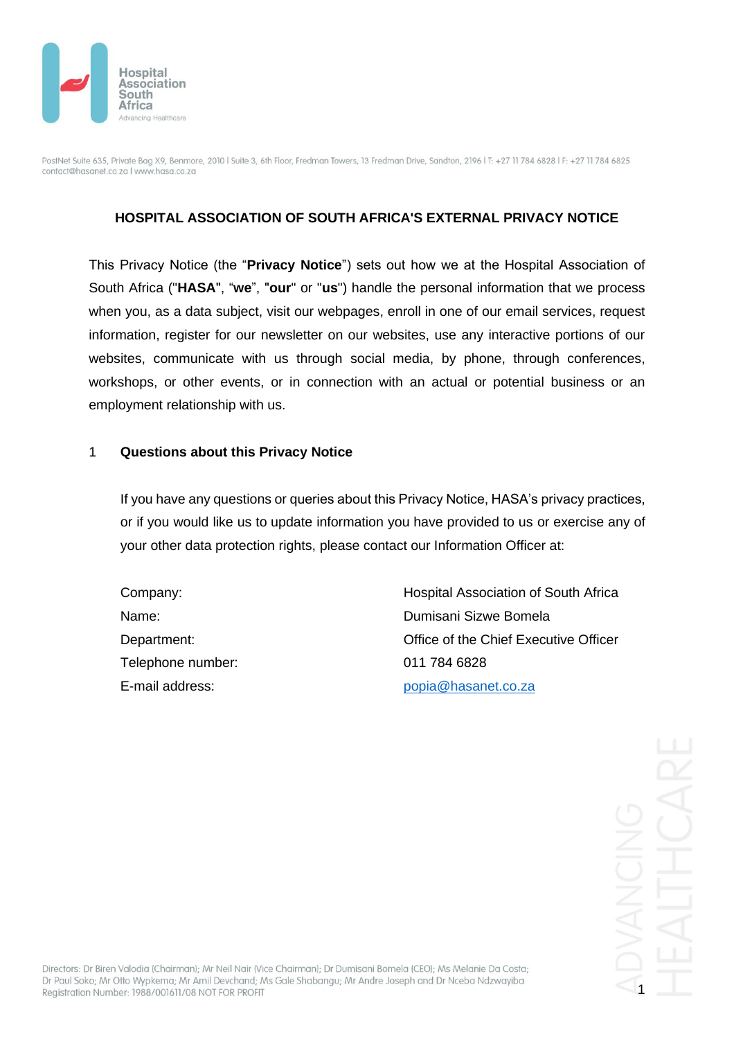

## **HOSPITAL ASSOCIATION OF SOUTH AFRICA'S EXTERNAL PRIVACY NOTICE**

This Privacy Notice (the "**Privacy Notice**") sets out how we at the Hospital Association of South Africa ("**HASA**", "**we**", "**our**" or "**us**") handle the personal information that we process when you, as a data subject, visit our webpages, enroll in one of our email services, request information, register for our newsletter on our websites, use any interactive portions of our websites, communicate with us through social media, by phone, through conferences, workshops, or other events, or in connection with an actual or potential business or an employment relationship with us.

#### 1 **Questions about this Privacy Notice**

If you have any questions or queries about this Privacy Notice, HASA's privacy practices, or if you would like us to update information you have provided to us or exercise any of your other data protection rights, please contact our Information Officer at:

Telephone number: 011 784 6828

Company: Hospital Association of South Africa Name: Dumisani Sizwe Bomela Department: Chief Executive Office of the Chief Executive Officer E-mail address: [popia@hasanet.co.za](mailto:popia@hasanet.co.za)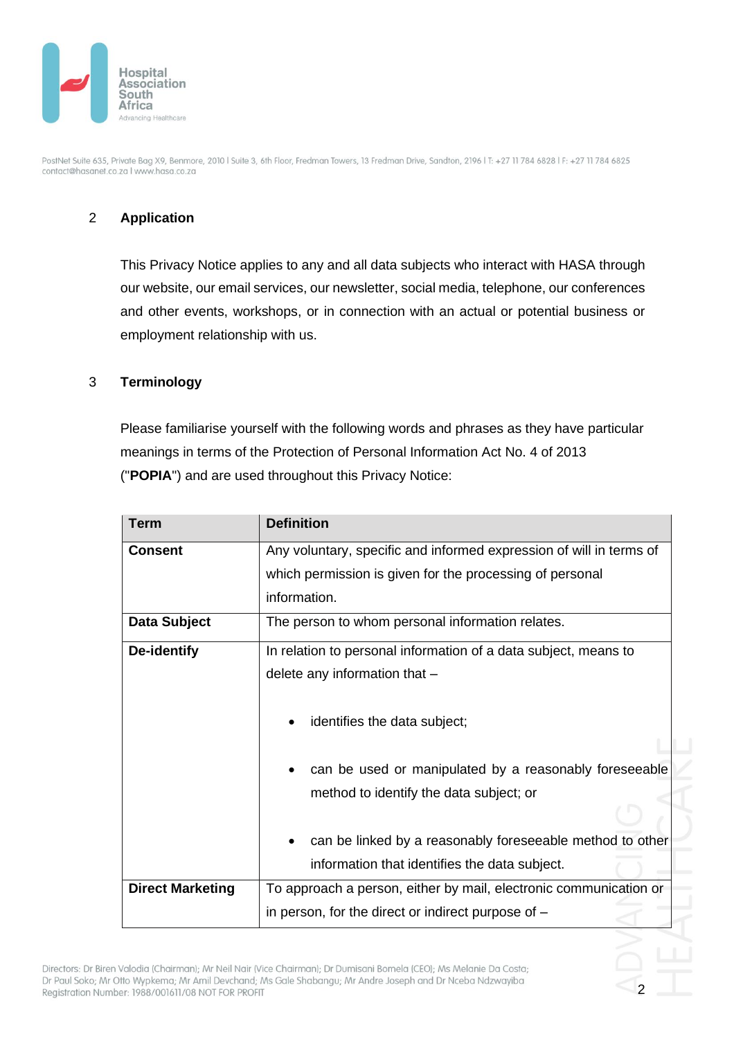

# 2 **Application**

This Privacy Notice applies to any and all data subjects who interact with HASA through our website, our email services, our newsletter, social media, telephone, our conferences and other events, workshops, or in connection with an actual or potential business or employment relationship with us.

#### 3 **Terminology**

Please familiarise yourself with the following words and phrases as they have particular meanings in terms of the Protection of Personal Information Act No. 4 of 2013 ("**POPIA**") and are used throughout this Privacy Notice:

| <b>Term</b>             | <b>Definition</b>                                                                                                               |  |  |
|-------------------------|---------------------------------------------------------------------------------------------------------------------------------|--|--|
| <b>Consent</b>          | Any voluntary, specific and informed expression of will in terms of<br>which permission is given for the processing of personal |  |  |
|                         |                                                                                                                                 |  |  |
|                         | information.                                                                                                                    |  |  |
| <b>Data Subject</b>     | The person to whom personal information relates.                                                                                |  |  |
| <b>De-identify</b>      | In relation to personal information of a data subject, means to                                                                 |  |  |
|                         | delete any information that -                                                                                                   |  |  |
|                         | identifies the data subject;                                                                                                    |  |  |
|                         | can be used or manipulated by a reasonably foreseeable                                                                          |  |  |
|                         | method to identify the data subject; or                                                                                         |  |  |
|                         |                                                                                                                                 |  |  |
|                         | can be linked by a reasonably foreseeable method to other                                                                       |  |  |
|                         | information that identifies the data subject.                                                                                   |  |  |
| <b>Direct Marketing</b> | To approach a person, either by mail, electronic communication or                                                               |  |  |
|                         | in person, for the direct or indirect purpose of -                                                                              |  |  |

2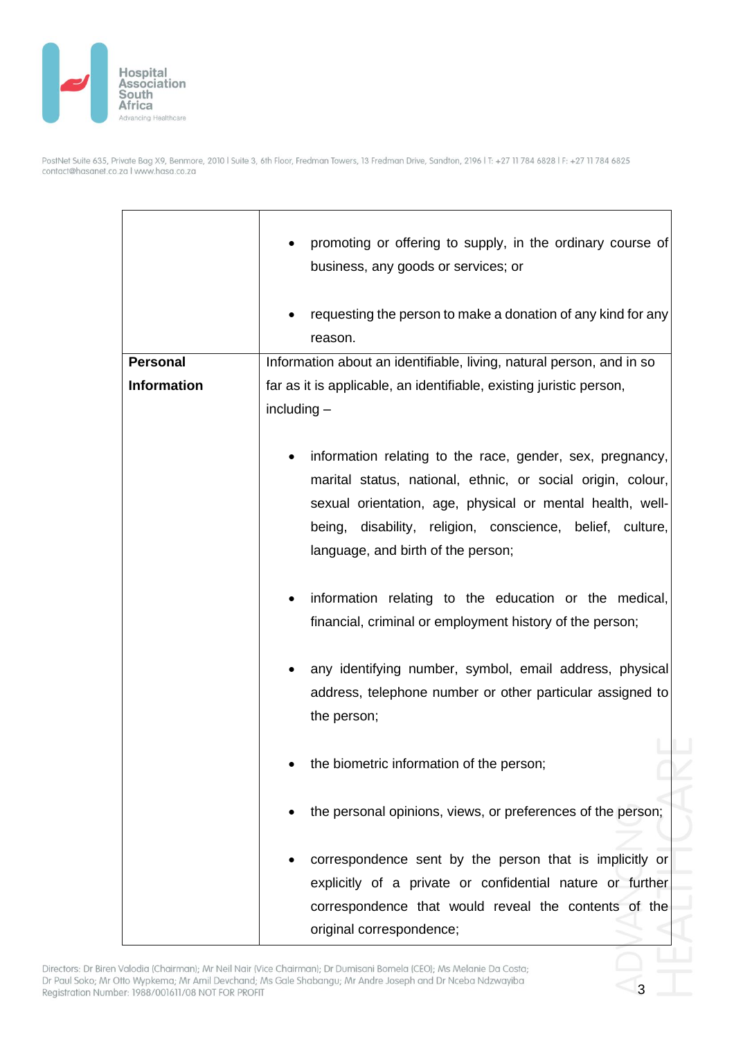

|                    | promoting or offering to supply, in the ordinary course of<br>business, any goods or services; or                                                                                                                                                                                        |  |  |
|--------------------|------------------------------------------------------------------------------------------------------------------------------------------------------------------------------------------------------------------------------------------------------------------------------------------|--|--|
|                    | requesting the person to make a donation of any kind for any<br>reason.                                                                                                                                                                                                                  |  |  |
| <b>Personal</b>    | Information about an identifiable, living, natural person, and in so                                                                                                                                                                                                                     |  |  |
| <b>Information</b> | far as it is applicable, an identifiable, existing juristic person,<br>$including -$                                                                                                                                                                                                     |  |  |
|                    | information relating to the race, gender, sex, pregnancy,<br>marital status, national, ethnic, or social origin, colour,<br>sexual orientation, age, physical or mental health, well-<br>being, disability, religion, conscience, belief, culture,<br>language, and birth of the person; |  |  |
|                    | information relating to the education or the medical,<br>financial, criminal or employment history of the person;                                                                                                                                                                        |  |  |
|                    | any identifying number, symbol, email address, physical<br>address, telephone number or other particular assigned to<br>the person;                                                                                                                                                      |  |  |
|                    | the biometric information of the person;                                                                                                                                                                                                                                                 |  |  |
|                    | the personal opinions, views, or preferences of the person;                                                                                                                                                                                                                              |  |  |
|                    | correspondence sent by the person that is implicitly or<br>explicitly of a private or confidential nature or further<br>correspondence that would reveal the contents of the                                                                                                             |  |  |
|                    | original correspondence;                                                                                                                                                                                                                                                                 |  |  |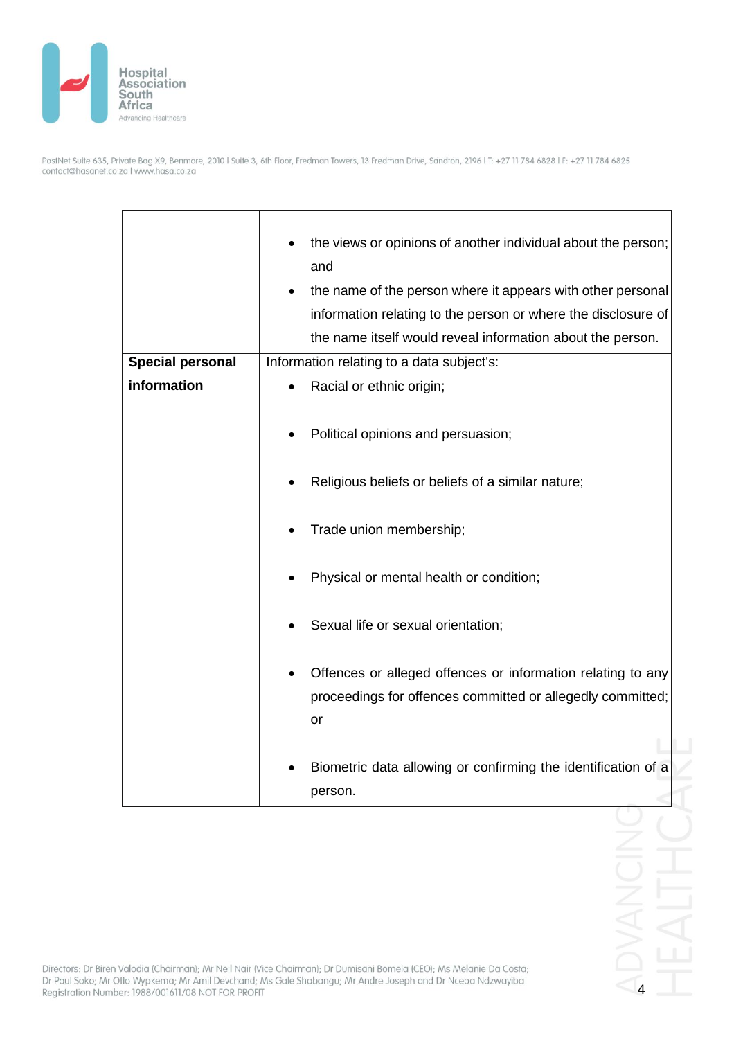

r

PostNet Suite 635, Private Bag X9, Benmore, 2010 | Suite 3, 6th Floor, Fredman Towers, 13 Fredman Drive, Sandton, 2196 | T: +27 11 784 6828 | F: +27 11 784 6825<br>contact@hasanet.co.za | www.hasa.co.za

|                         | the views or opinions of another individual about the person; |  |
|-------------------------|---------------------------------------------------------------|--|
|                         | and                                                           |  |
|                         | the name of the person where it appears with other personal   |  |
|                         |                                                               |  |
|                         | information relating to the person or where the disclosure of |  |
|                         | the name itself would reveal information about the person.    |  |
| <b>Special personal</b> | Information relating to a data subject's:                     |  |
| information             | Racial or ethnic origin;                                      |  |
|                         |                                                               |  |
|                         | Political opinions and persuasion;                            |  |
|                         |                                                               |  |
|                         |                                                               |  |
|                         | Religious beliefs or beliefs of a similar nature;             |  |
|                         |                                                               |  |
|                         | Trade union membership;                                       |  |
|                         |                                                               |  |
|                         | Physical or mental health or condition;                       |  |
|                         |                                                               |  |
|                         |                                                               |  |
|                         | Sexual life or sexual orientation;                            |  |
|                         |                                                               |  |
|                         | Offences or alleged offences or information relating to any   |  |
|                         | proceedings for offences committed or allegedly committed;    |  |
|                         | or                                                            |  |
|                         |                                                               |  |
|                         |                                                               |  |
|                         | Biometric data allowing or confirming the identification of a |  |
|                         | person.                                                       |  |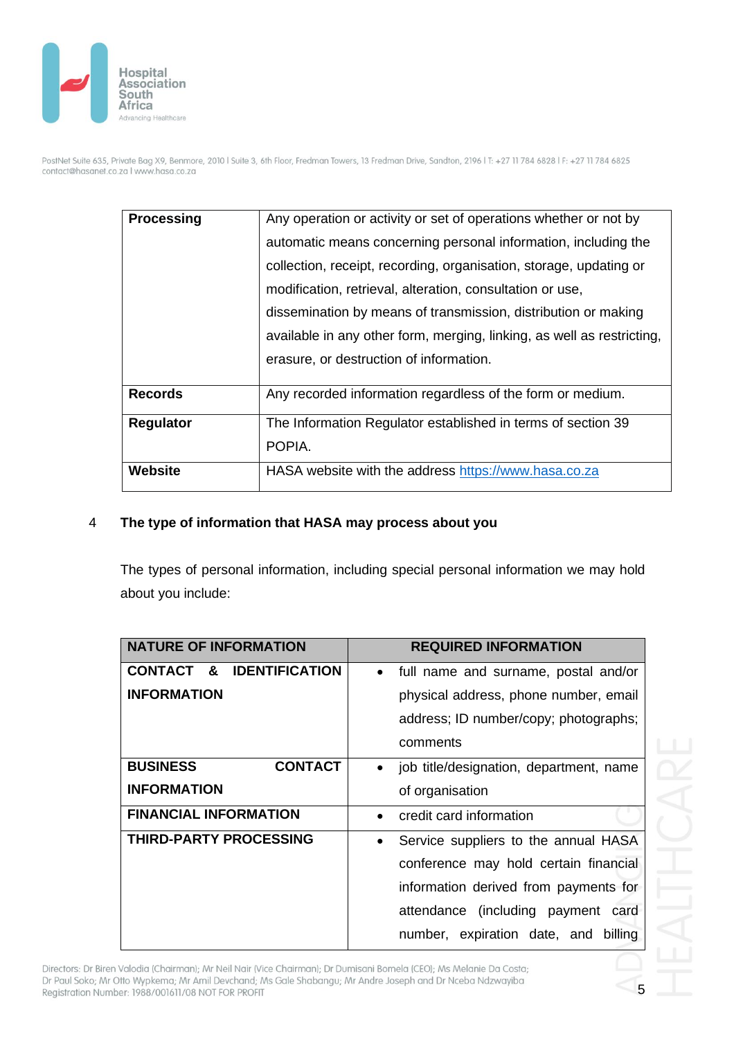

| <b>Processing</b> | Any operation or activity or set of operations whether or not by       |
|-------------------|------------------------------------------------------------------------|
|                   | automatic means concerning personal information, including the         |
|                   | collection, receipt, recording, organisation, storage, updating or     |
|                   | modification, retrieval, alteration, consultation or use,              |
|                   | dissemination by means of transmission, distribution or making         |
|                   | available in any other form, merging, linking, as well as restricting, |
|                   | erasure, or destruction of information.                                |
| <b>Records</b>    | Any recorded information regardless of the form or medium.             |
| <b>Regulator</b>  | The Information Regulator established in terms of section 39           |
|                   | POPIA.                                                                 |
| Website           | HASA website with the address https://www.hasa.co.za                   |

# 4 **The type of information that HASA may process about you**

The types of personal information, including special personal information we may hold about you include:

| <b>NATURE OF INFORMATION</b>       | <b>REQUIRED INFORMATION</b>                       |
|------------------------------------|---------------------------------------------------|
| CONTACT &<br><b>IDENTIFICATION</b> | • full name and surname, postal and/or            |
| <b>INFORMATION</b>                 | physical address, phone number, email             |
|                                    | address; ID number/copy; photographs;             |
|                                    | comments                                          |
| <b>CONTACT</b><br><b>BUSINESS</b>  | job title/designation, department, name           |
| <b>INFORMATION</b>                 | of organisation                                   |
| <b>FINANCIAL INFORMATION</b>       | credit card information                           |
| <b>THIRD-PARTY PROCESSING</b>      | Service suppliers to the annual HASA<br>$\bullet$ |
|                                    | conference may hold certain financial             |
|                                    | information derived from payments for             |
|                                    | attendance (including payment<br>card             |
|                                    | number, expiration date, and billing              |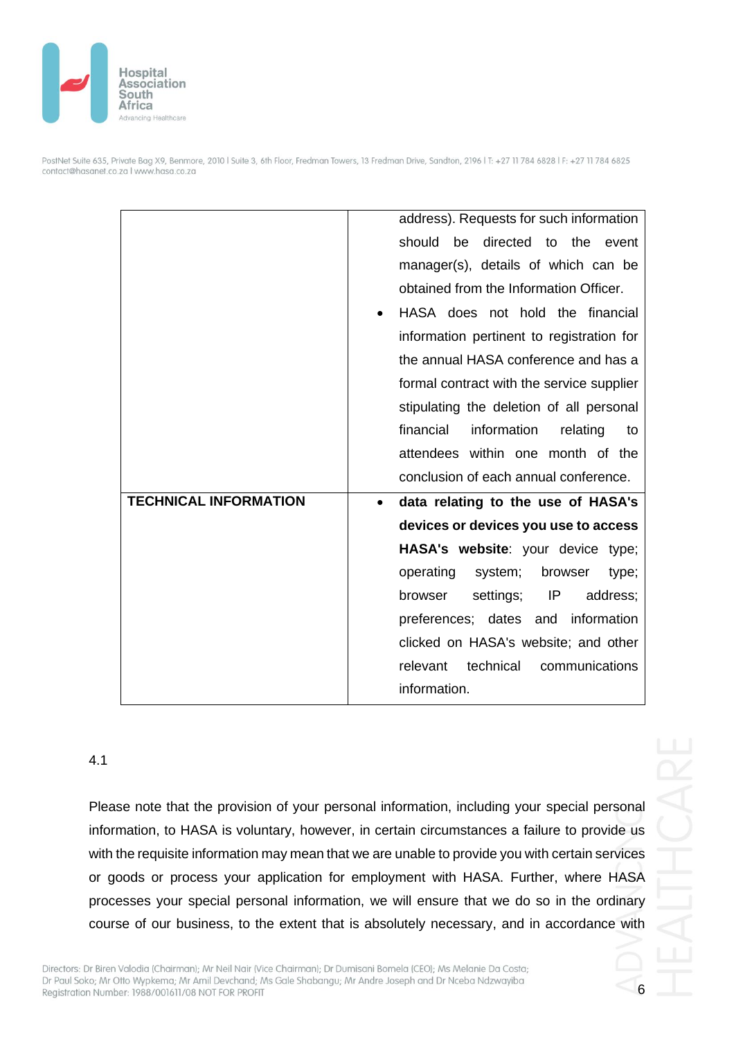

|                              | address). Requests for such information         |       |
|------------------------------|-------------------------------------------------|-------|
|                              | be<br>directed to the<br>should                 | event |
|                              | manager(s), details of which can be             |       |
|                              | obtained from the Information Officer.          |       |
|                              | HASA does not hold the financial                |       |
|                              | information pertinent to registration for       |       |
|                              | the annual HASA conference and has a            |       |
|                              | formal contract with the service supplier       |       |
|                              | stipulating the deletion of all personal        |       |
|                              | financial<br>information<br>relating            | to    |
|                              | attendees within one month of the               |       |
|                              |                                                 |       |
|                              | conclusion of each annual conference.           |       |
| <b>TECHNICAL INFORMATION</b> | data relating to the use of HASA's<br>$\bullet$ |       |
|                              | devices or devices you use to access            |       |
|                              | HASA's website: your device type;               |       |
|                              | operating<br>system;<br>browser                 | type; |
|                              | IP<br>settings;<br>address;<br>browser          |       |
|                              | preferences; dates and information              |       |
|                              | clicked on HASA's website; and other            |       |
|                              | technical<br>communications<br>relevant         |       |

#### 4.1

Please note that the provision of your personal information, including your special personal information, to HASA is voluntary, however, in certain circumstances a failure to provide us with the requisite information may mean that we are unable to provide you with certain services or goods or process your application for employment with HASA. Further, where HASA processes your special personal information, we will ensure that we do so in the ordinary course of our business, to the extent that is absolutely necessary, and in accordance with

Directors: Dr Biren Valodia (Chairman); Mr Neil Nair (Vice Chairman); Dr Dumisani Bomela (CEO); Ms Melanie Da Costa; Dr Paul Soko; Mr Otto Wypkema; Mr Amil Devchand; Ms Gale Shabangu; Mr Andre Joseph and Dr Nceba Ndzwayiba Registration Number: 1988/001611/08 NOT FOR PROFIT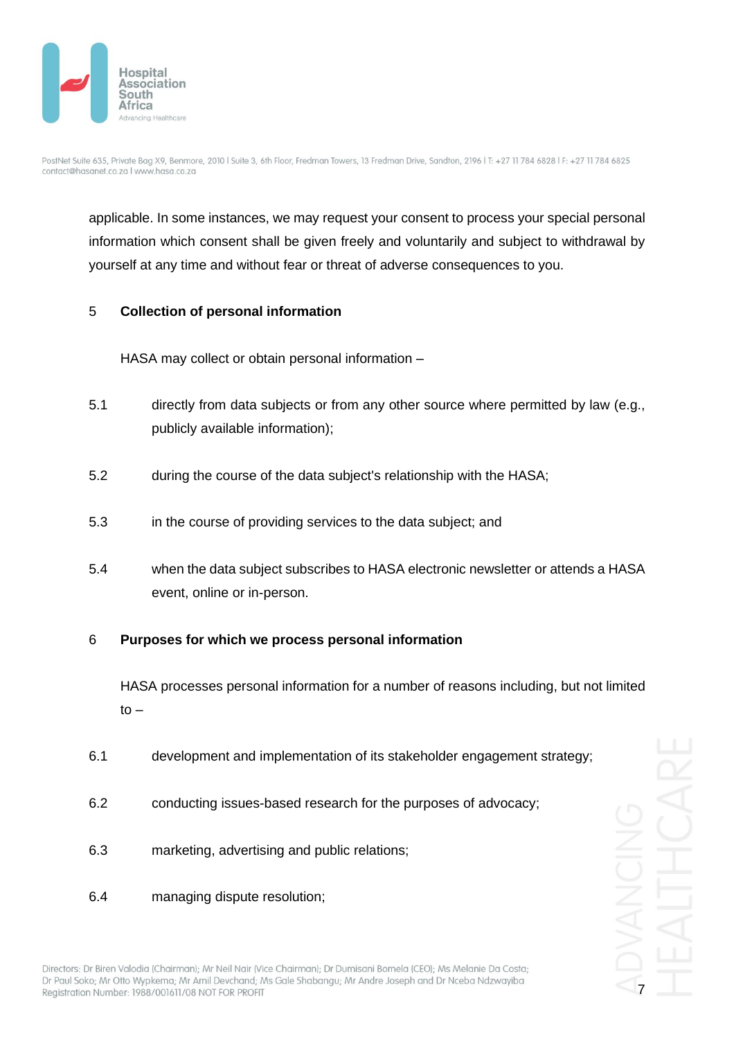

applicable. In some instances, we may request your consent to process your special personal information which consent shall be given freely and voluntarily and subject to withdrawal by yourself at any time and without fear or threat of adverse consequences to you.

### 5 **Collection of personal information**

HASA may collect or obtain personal information –

- 5.1 directly from data subjects or from any other source where permitted by law (e.g., publicly available information);
- 5.2 during the course of the data subject's relationship with the HASA;
- 5.3 in the course of providing services to the data subject; and
- 5.4 when the data subject subscribes to HASA electronic newsletter or attends a HASA event, online or in-person.

### 6 **Purposes for which we process personal information**

HASA processes personal information for a number of reasons including, but not limited  $to -$ 

- 6.1 development and implementation of its stakeholder engagement strategy;
- 6.2 conducting issues-based research for the purposes of advocacy;
- 6.3 marketing, advertising and public relations;
- 6.4 managing dispute resolution;

7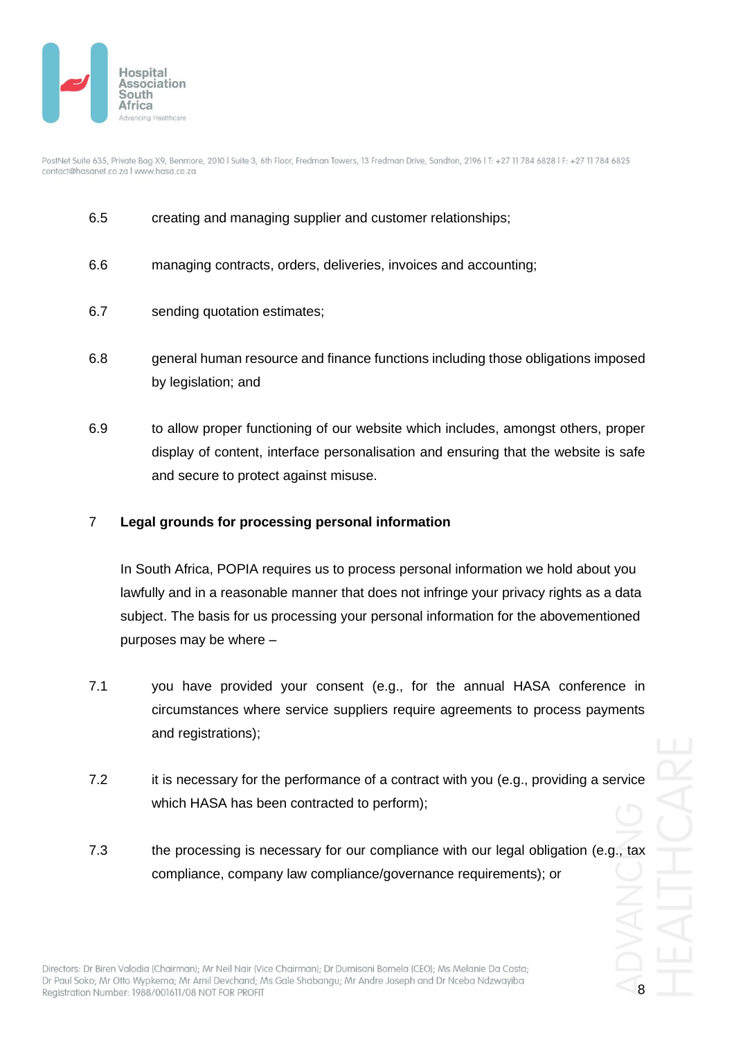

- 6.5 creating and managing supplier and customer relationships;
- 6.6 managing contracts, orders, deliveries, invoices and accounting;
- 6.7 sending quotation estimates;
- 6.8 general human resource and finance functions including those obligations imposed by legislation; and
- 6.9 to allow proper functioning of our website which includes, amongst others, proper display of content, interface personalisation and ensuring that the website is safe and secure to protect against misuse.

### 7 **Legal grounds for processing personal information**

In South Africa, POPIA requires us to process personal information we hold about you lawfully and in a reasonable manner that does not infringe your privacy rights as a data subject. The basis for us processing your personal information for the abovementioned purposes may be where –

- 7.1 you have provided your consent (e.g., for the annual HASA conference in circumstances where service suppliers require agreements to process payments and registrations);
- 7.2 it is necessary for the performance of a contract with you (e.g., providing a service which HASA has been contracted to perform);
- 7.3 the processing is necessary for our compliance with our legal obligation (e.g., tax compliance, company law compliance/governance requirements); or

8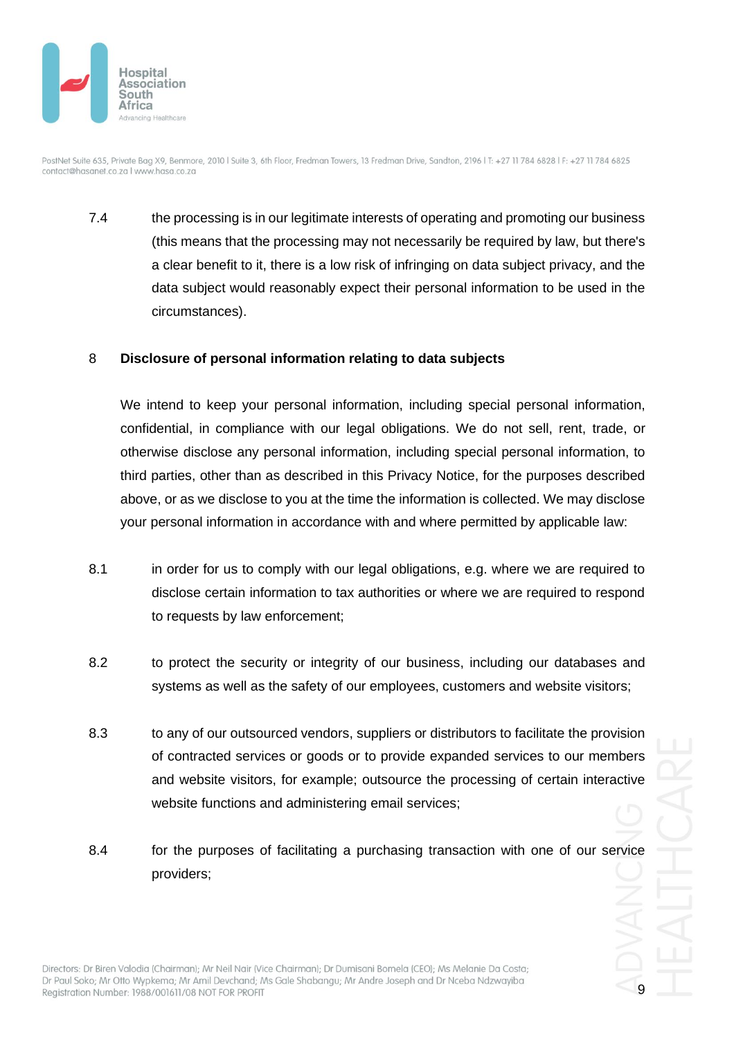

7.4 the processing is in our legitimate interests of operating and promoting our business (this means that the processing may not necessarily be required by law, but there's a clear benefit to it, there is a low risk of infringing on data subject privacy, and the data subject would reasonably expect their personal information to be used in the circumstances).

### 8 **Disclosure of personal information relating to data subjects**

We intend to keep your personal information, including special personal information, confidential, in compliance with our legal obligations. We do not sell, rent, trade, or otherwise disclose any personal information, including special personal information, to third parties, other than as described in this Privacy Notice, for the purposes described above, or as we disclose to you at the time the information is collected. We may disclose your personal information in accordance with and where permitted by applicable law:

- 8.1 in order for us to comply with our legal obligations, e.g. where we are required to disclose certain information to tax authorities or where we are required to respond to requests by law enforcement;
- 8.2 to protect the security or integrity of our business, including our databases and systems as well as the safety of our employees, customers and website visitors;
- 8.3 to any of our outsourced vendors, suppliers or distributors to facilitate the provision of contracted services or goods or to provide expanded services to our members and website visitors, for example; outsource the processing of certain interactive website functions and administering email services;
- 8.4 for the purposes of facilitating a purchasing transaction with one of our service providers;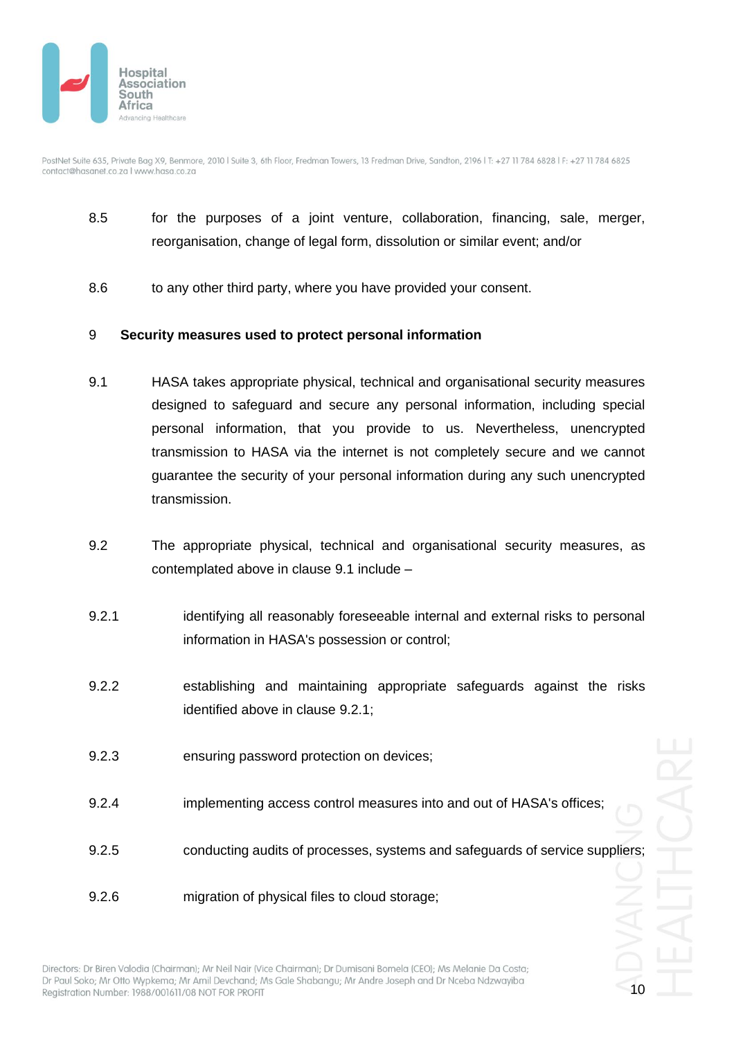

- 8.5 for the purposes of a joint venture, collaboration, financing, sale, merger, reorganisation, change of legal form, dissolution or similar event; and/or
- 8.6 to any other third party, where you have provided your consent.

#### 9 **Security measures used to protect personal information**

- <span id="page-9-0"></span>9.1 HASA takes appropriate physical, technical and organisational security measures designed to safeguard and secure any personal information, including special personal information, that you provide to us. Nevertheless, unencrypted transmission to HASA via the internet is not completely secure and we cannot guarantee the security of your personal information during any such unencrypted transmission.
- 9.2 The appropriate physical, technical and organisational security measures, as contemplated above in clause [9.1](#page-9-0) include –
- <span id="page-9-1"></span>9.2.1 identifying all reasonably foreseeable internal and external risks to personal information in HASA's possession or control;
- 9.2.2 establishing and maintaining appropriate safeguards against the risks identified above in clause [9.2.1;](#page-9-1)
- 9.2.3 ensuring password protection on devices;
- 9.2.4 implementing access control measures into and out of HASA's offices;
- 9.2.5 conducting audits of processes, systems and safeguards of service suppliers;

9.2.6 migration of physical files to cloud storage;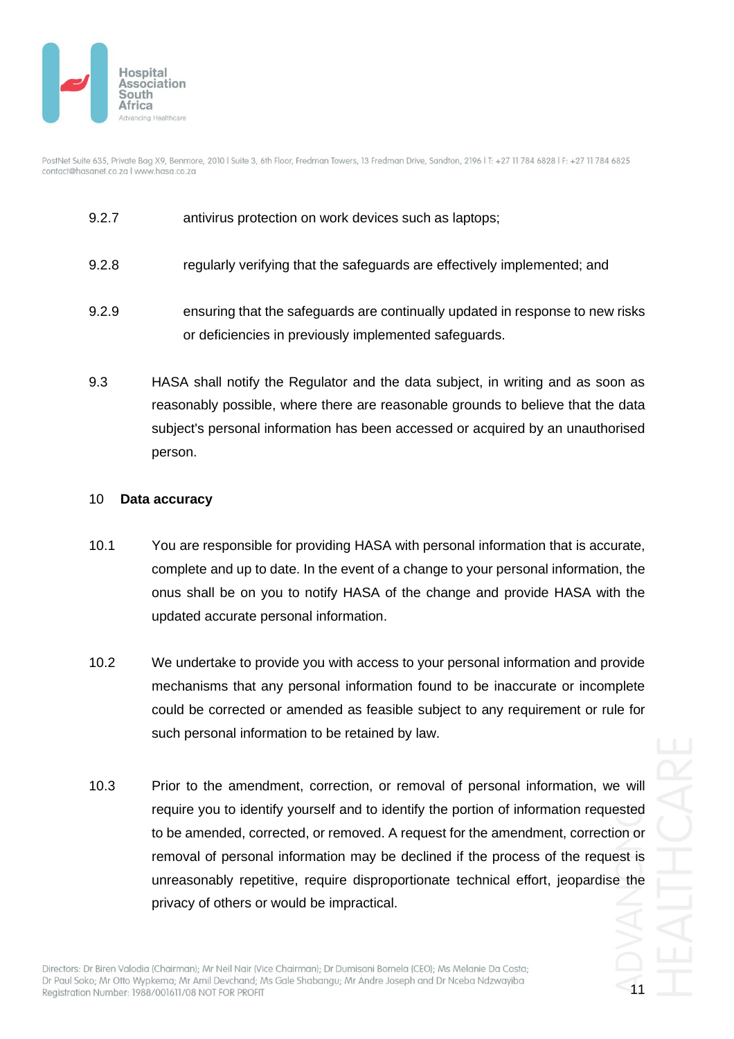

- 9.2.7 antivirus protection on work devices such as laptops;
- 9.2.8 regularly verifying that the safeguards are effectively implemented; and
- 9.2.9 ensuring that the safeguards are continually updated in response to new risks or deficiencies in previously implemented safeguards.
- 9.3 HASA shall notify the Regulator and the data subject, in writing and as soon as reasonably possible, where there are reasonable grounds to believe that the data subject's personal information has been accessed or acquired by an unauthorised person.

#### 10 **Data accuracy**

- 10.1 You are responsible for providing HASA with personal information that is accurate, complete and up to date. In the event of a change to your personal information, the onus shall be on you to notify HASA of the change and provide HASA with the updated accurate personal information.
- 10.2 We undertake to provide you with access to your personal information and provide mechanisms that any personal information found to be inaccurate or incomplete could be corrected or amended as feasible subject to any requirement or rule for such personal information to be retained by law.
- 10.3 Prior to the amendment, correction, or removal of personal information, we will require you to identify yourself and to identify the portion of information requested to be amended, corrected, or removed. A request for the amendment, correction or removal of personal information may be declined if the process of the request is unreasonably repetitive, require disproportionate technical effort, jeopardise the privacy of others or would be impractical.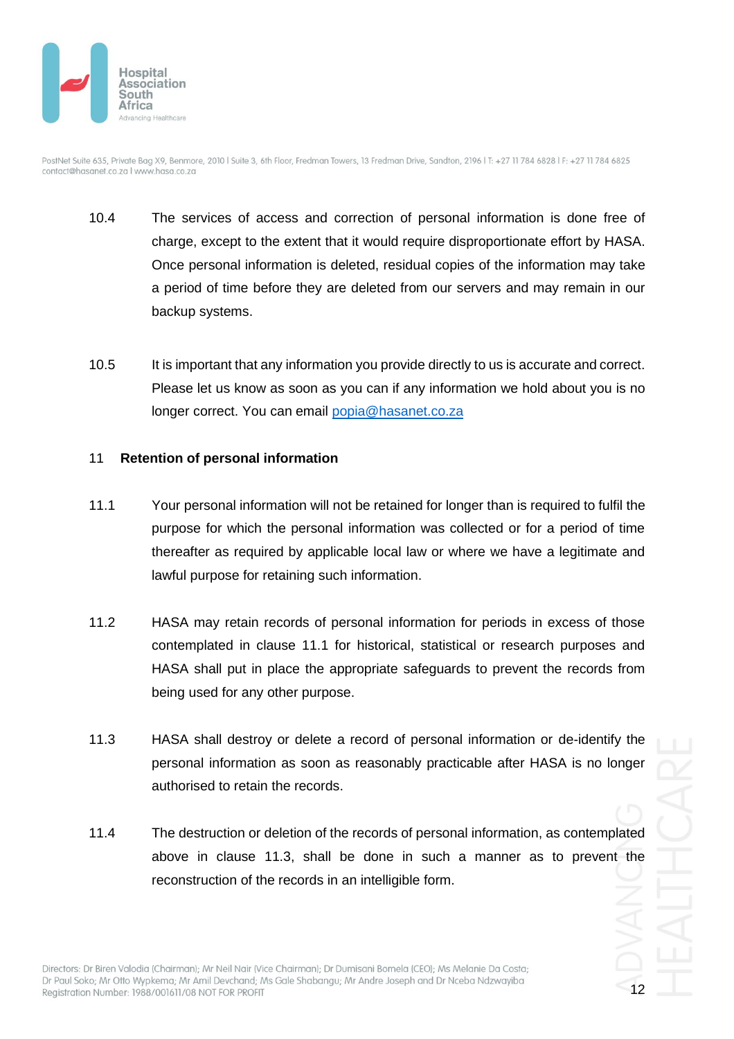

- 10.4 The services of access and correction of personal information is done free of charge, except to the extent that it would require disproportionate effort by HASA. Once personal information is deleted, residual copies of the information may take a period of time before they are deleted from our servers and may remain in our backup systems.
- 10.5 It is important that any information you provide directly to us is accurate and correct. Please let us know as soon as you can if any information we hold about you is no longer correct. You can email [popia@hasanet.co.za](mailto:popia@hasanet.co.za)

### 11 **Retention of personal information**

- <span id="page-11-0"></span>11.1 Your personal information will not be retained for longer than is required to fulfil the purpose for which the personal information was collected or for a period of time thereafter as required by applicable local law or where we have a legitimate and lawful purpose for retaining such information.
- 11.2 HASA may retain records of personal information for periods in excess of those contemplated in clause [11.1](#page-11-0) for historical, statistical or research purposes and HASA shall put in place the appropriate safeguards to prevent the records from being used for any other purpose.
- <span id="page-11-1"></span>11.3 HASA shall destroy or delete a record of personal information or de-identify the personal information as soon as reasonably practicable after HASA is no longer authorised to retain the records.
- 11.4 The destruction or deletion of the records of personal information, as contemplated above in clause [11.3,](#page-11-1) shall be done in such a manner as to prevent the reconstruction of the records in an intelligible form.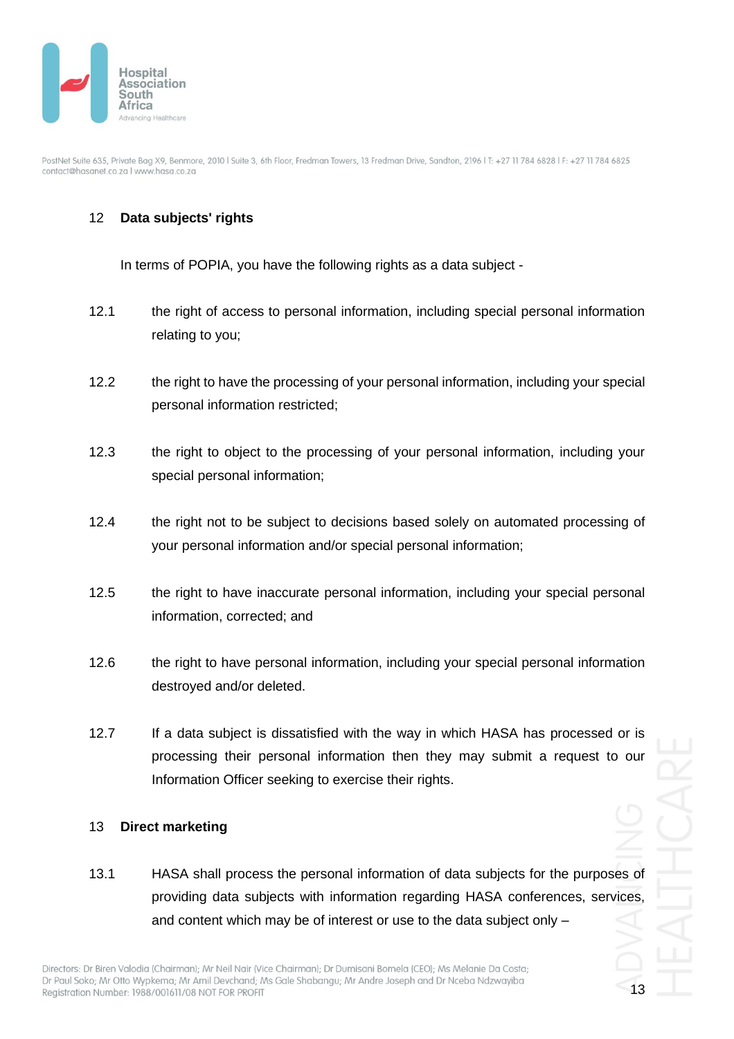

# 12 **Data subjects' rights**

In terms of POPIA, you have the following rights as a data subject -

- 12.1 the right of access to personal information, including special personal information relating to you;
- 12.2 the right to have the processing of your personal information, including your special personal information restricted;
- 12.3 the right to object to the processing of your personal information, including your special personal information;
- 12.4 the right not to be subject to decisions based solely on automated processing of your personal information and/or special personal information;
- 12.5 the right to have inaccurate personal information, including your special personal information, corrected; and
- 12.6 the right to have personal information, including your special personal information destroyed and/or deleted.
- 12.7 If a data subject is dissatisfied with the way in which HASA has processed or is processing their personal information then they may submit a request to our Information Officer seeking to exercise their rights.

#### 13 **Direct marketing**

13.1 HASA shall process the personal information of data subjects for the purposes of providing data subjects with information regarding HASA conferences, services, and content which may be of interest or use to the data subject only –

13